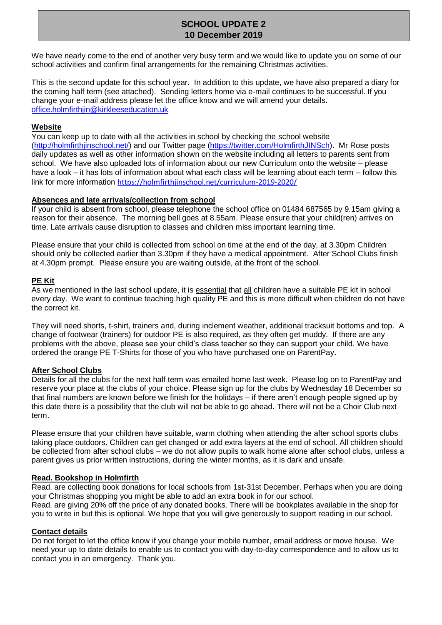# **SCHOOL UPDATE 2 10 December 2019**

We have nearly come to the end of another very busy term and we would like to update you on some of our school activities and confirm final arrangements for the remaining Christmas activities.

This is the second update for this school year. In addition to this update, we have also prepared a diary for the coming half term (see attached). Sending letters home via e-mail continues to be successful. If you change your e-mail address please let the office know and we will amend your details. office.holmfirthjin@kirkleeseducation.uk

#### **Website**

You can keep up to date with all the activities in school by checking the school website [\(http://holmfirthjinschool.net/\)](http://holmfirthjinschool.net/) and our Twitter page [\(https://twitter.com/HolmfirthJINSch\)](https://twitter.com/HolmfirthJINSch). Mr Rose posts daily updates as well as other information shown on the website including all letters to parents sent from school. We have also uploaded lots of information about our new Curriculum onto the website – please have a look – it has lots of information about what each class will be learning about each term – follow this link for more information <https://holmfirthjinschool.net/curriculum-2019-2020/>

#### **Absences and late arrivals/collection from school**

If your child is absent from school, please telephone the school office on 01484 687565 by 9.15am giving a reason for their absence. The morning bell goes at 8.55am. Please ensure that your child(ren) arrives on time. Late arrivals cause disruption to classes and children miss important learning time.

Please ensure that your child is collected from school on time at the end of the day, at 3.30pm Children should only be collected earlier than 3.30pm if they have a medical appointment. After School Clubs finish at 4.30pm prompt. Please ensure you are waiting outside, at the front of the school.

# **PE Kit**

As we mentioned in the last school update, it is essential that all children have a suitable PE kit in school every day. We want to continue teaching high quality PE and this is more difficult when children do not have the correct kit.

They will need shorts, t-shirt, trainers and, during inclement weather, additional tracksuit bottoms and top. A change of footwear (trainers) for outdoor PE is also required, as they often get muddy. If there are any problems with the above, please see your child's class teacher so they can support your child. We have ordered the orange PE T-Shirts for those of you who have purchased one on ParentPay.

# **After School Clubs**

Details for all the clubs for the next half term was emailed home last week. Please log on to ParentPay and reserve your place at the clubs of your choice. Please sign up for the clubs by Wednesday 18 December so that final numbers are known before we finish for the holidays – if there aren't enough people signed up by this date there is a possibility that the club will not be able to go ahead. There will not be a Choir Club next term.

Please ensure that your children have suitable, warm clothing when attending the after school sports clubs taking place outdoors. Children can get changed or add extra layers at the end of school. All children should be collected from after school clubs – we do not allow pupils to walk home alone after school clubs, unless a parent gives us prior written instructions, during the winter months, as it is dark and unsafe.

#### **Read. Bookshop in Holmfirth**

Read. are collecting book donations for local schools from 1st-31st December. Perhaps when you are doing your Christmas shopping you might be able to add an extra book in for our school. Read. are giving 20% off the price of any donated books. There will be bookplates available in the shop for you to write in but this is optional. We hope that you will give generously to support reading in our school.

#### **Contact details**

Do not forget to let the office know if you change your mobile number, email address or move house. We need your up to date details to enable us to contact you with day-to-day correspondence and to allow us to contact you in an emergency. Thank you.